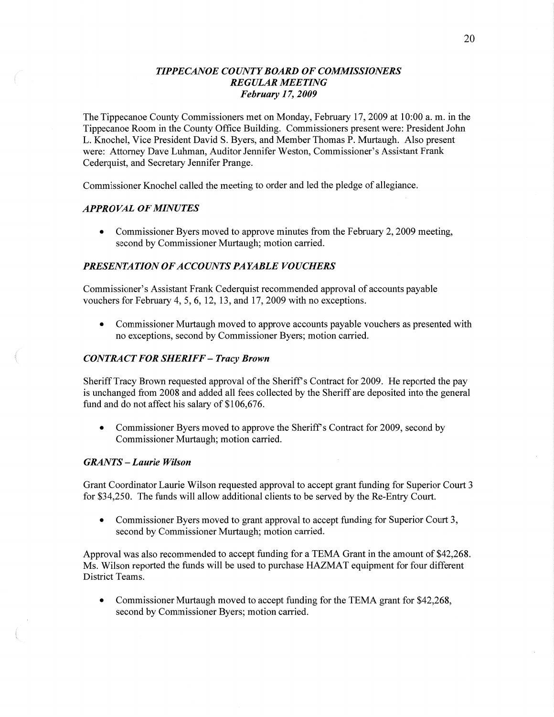## *TIPPECANOE COUNTY BOARD* OF *COMMISSIONERS REGULAR MEETING February 1* 7, *2009*

The Tippecanoe County Commissioners met on Monday, February 17, 2009 at 10:00 a. m. in the Tippecanoe Room in the County Office Building. Commissioners present were: President John L. Knochel, Vice President David S. Byers, and Member **Thomas** P. Murtaugh. Also present were: Attorney Dave Luhman, Auditor Jennifer Weston, Commissioner's Assistant Frank Cederquist, and Secretary Jennifer Prange.

Commissioner Knochel called the meeting to order and led the pledge of allegiance.

#### *APPROVAL* OF *MINUTES*

**0** Commissioner Byers moved to approve **minutes** from the February 2, 2009 meeting, second by Commissioner Murtaugh; motion carried.

#### **PRESENTATION OF ACCOUNTS PAYABLE VOUCHERS**

Commissioner's Assistant Frank Cederquist recommended approval of accounts payable vouchers for February 4, 5, 6, 12, 13, and 17, 2009 with no exceptions.

**0** Commissioner Murtaugh moved to approve accounts payable vouchers as presented with no exceptions, second by Commissioner Byers; motion carried.

## *CONTRACT F* OR *SHERIFF* **—** *Tracy Brown*

Sheriff Tracy Brown requested approval of the Sheriff's Contract for 2009. He reported the pay is unchanged from 2008 and added all fees collected by the Sheriff are deposited into the general fund and do not affect his salary of \$106,676.

• Commissioner Byers moved to approve the Sheriff's Contract for 2009, second by Commissioner Murtaugh; motion carried.

#### *GRANTS* **—** *Laurie Wilson*

Grant Coordinator Laurie Wilson requested approval to accept grant funding for Superior Court 3 for \$34,250. The funds will allow additional clients to be served by the Re-Entry Court.

**0** Commissioner Byers moved to grant approval to accept funding for Superior Court 3, second by Commissioner Murtaugh; motion carried.

Approval was also recommended to accept funding for **a** TEMA Grant in the amount of \$42,268. Ms. Wilson reported the funds will be used to purchase HAZMAT equipment for four different District **Teams.** 

**0** Commissioner Murtaugh moved to accept **funding** for the TEMA grant for \$42,268, second by Commissioner Byers; motion carried.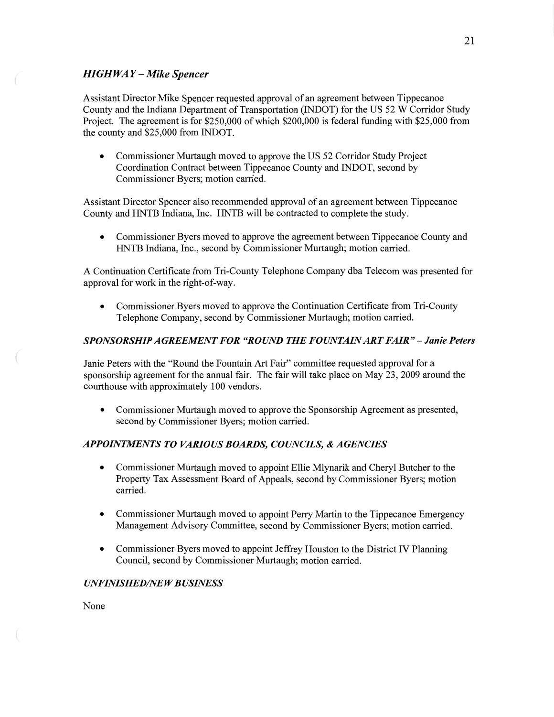## HI *GHWA Y — Mike Spencer*

**Assistant** Director Mike Spencer requested approval of an agreement between Tippecanoe County and the **Indiana** Department of Transportation (INDOT) for the US 52 **W** Corridor Study Project. The agreement is for \$250,000 of which \$200,000 is federal funding with \$25,000 from the county and \$25,000 from INDOT.

**0** Commissioner Murtaugh moved to approve the US 52 Corridor Study Project **Coordination** Contract between Tippecanoe County and INDOT, second by Commissioner Byers; motion carried.

**Assistant** Director Spencer also recommended approval of an agreement between Tippecanoe County and HNTB Indiana, Inc. HNTB will be contracted to complete the study.

**0** Commissioner Byers moved to approve the agreement between Tippecanoe County and HNTB Indiana, Inc., second by Commissioner Murtaugh; motion carried.

**A** Continuation Certificate from Tri-County Telephone Company dba Telecom was presented for approval for work in the right-of-way.

**0** Commissioner Byers moved to approve the Continuation Certificate fiom Tri-County Telephone Company, second by Commissioner Murtaugh; motion carried.

### *SPONSORSHIPAGREEMEN T* FOR *"ROUND* THE F0 *UNTAIN* ART *FAIR "* **—** *Janie Peters*

Janie Peters with the "Round the Fountain Art Fair" committee requested approval for **a**  sponsorship agreement for the **annual** fair. The fair will take place on May 23, 2009 around the courthouse with approximately 100 vendors.

**0** Commissioner Murtaugh moved to approve the Sponsorship Agreement as presented, second by Commissioner Byers; motion carried.

### *APPOHVTMENTS* T0 *VARIOUS BOARDS, COUNCILS, & AGENCIES*

- **0 Commissioner** Murtaugh moved to appoint Ellie Mlynarik and Cheryl Butcher to the Property Tax Assessment Board of Appeals, **second** by Commissioner Byers; motion carried.
- **0** Commissioner Murtaugh moved to appoint Perry Martin to the Tippecanoe Emergency Management Advisory Committee, second by Commissioner Byers; motion carried.
- **0** Commissioner Byers moved to appoint Jeffrey Houston to the District IV **Planning**  Council, second by Commissioner Murtaugh; motion carried.

#### *IRVFINISHED/NE W B USINESS*

None